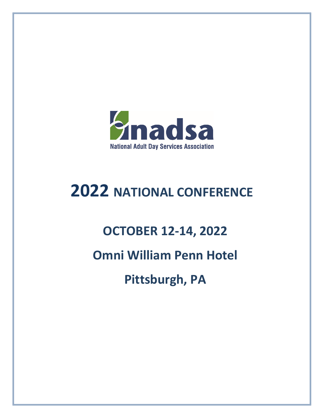

# **2022 NATIONAL CONFERENCE**

## **OCTOBER 12-14, 2022**

## **Omni William Penn Hotel**

**Pittsburgh, PA**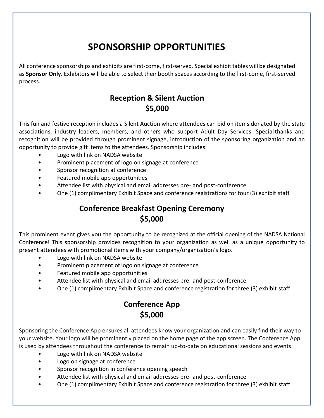## **SPONSORSHIP OPPORTUNITIES**

All conference sponsorships and exhibits are first-come, first-served. Special exhibit tables will be designated as **Sponsor Only***.* Exhibitors will be able to select their booth spaces according to the first-come, first-served process*.*

## **Reception & Silent Auction \$5,000**

This fun and festive reception includes a Silent Auction where attendees can bid on items donated by the state associations, industry leaders, members, and others who support Adult Day Services. Specialthanks and recognition will be provided through prominent signage, introduction of the sponsoring organization and an opportunity to provide gift items to the attendees. Sponsorship includes:

- Logo with link on NADSA website
- Prominent placement of logo on signage at conference
- Sponsor recognition at conference
- Featured mobile app opportunities
- Attendee list with physical and email addresses pre- and post-conference
- One (1) complimentary Exhibit Space and conference registrations for four (3) exhibit staff

## **Conference Breakfast Opening Ceremony \$5,000**

This prominent event gives you the opportunity to be recognized at the official opening of the NADSA National Conference! This sponsorship provides recognition to your organization as well as a unique opportunity to present attendees with promotional items with your company/organization's logo.

- Logo with link on NADSA website
- Prominent placement of logo on signage at conference
- Featured mobile app opportunities
- Attendee list with physical and email addresses pre- and post-conference
- One (1) complimentary Exhibit Space and conference registration for three (3) exhibit staff

## **Conference App \$5,000**

Sponsoring the Conference App ensures all attendees know your organization and can easily find their way to your website. Your logo will be prominently placed on the home page of the app screen. The Conference App is used by attendees throughout the conference to remain up-to-date on educational sessions and events.

- Logo with link on NADSA website
- Logo on signage at conference
- Sponsor recognition in conference opening speech
- Attendee list with physical and email addresses pre- and post-conference
- One (1) complimentary Exhibit Space and conference registration for three (3) exhibit staff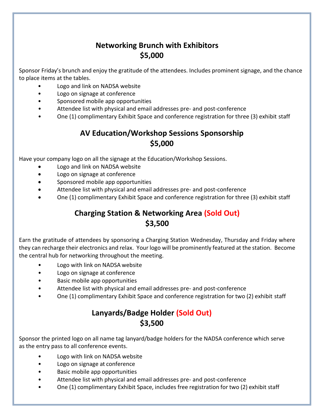## **Networking Brunch with Exhibitors \$5,000**

Sponsor Friday's brunch and enjoy the gratitude of the attendees. Includes prominent signage, and the chance to place items at the tables.

- Logo and link on NADSA website
- Logo on signage at conference
- Sponsored mobile app opportunities
- Attendee list with physical and email addresses pre- and post-conference
- One (1) complimentary Exhibit Space and conference registration for three (3) exhibit staff

## **AV Education/Workshop Sessions Sponsorship \$5,000**

Have your company logo on all the signage at the Education/Workshop Sessions.

- Logo and link on NADSA website
- Logo on signage at conference
- Sponsored mobile app opportunities
- Attendee list with physical and email addresses pre- and post-conference
- One (1) complimentary Exhibit Space and conference registration for three (3) exhibit staff

## **Charging Station & Networking Area (Sold Out) \$3,500**

Earn the gratitude of attendees by sponsoring a Charging Station Wednesday, Thursday and Friday where they can recharge their electronics and relax. Your logo will be prominently featured at the station. Become the central hub for networking throughout the meeting.

- Logo with link on NADSA website
- Logo on signage at conference
- Basic mobile app opportunities
- Attendee list with physical and email addresses pre- and post-conference
- One (1) complimentary Exhibit Space and conference registration for two (2) exhibit staff

## **Lanyards/Badge Holder (Sold Out) \$3,500**

Sponsor the printed logo on all name tag lanyard/badge holders for the NADSA conference which serve as the entry pass to all conference events.

- Logo with link on NADSA website
- Logo on signage at conference
- Basic mobile app opportunities
- Attendee list with physical and email addresses pre- and post-conference
- One (1) complimentary Exhibit Space, includes free registration for two (2) exhibit staff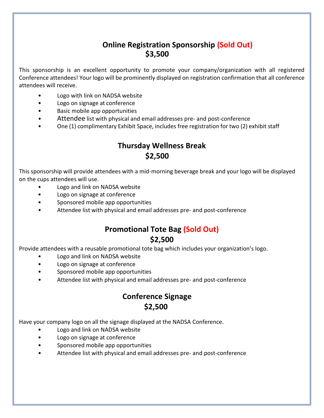#### **Online Registration Sponsorship (Sold Out) \$3,500**

This sponsorship is an excellent opportunity to promote your company/organization with all registered Conference attendees! Your logo will be prominently displayed on registration confirmation that all conference attendees will receive.

- Logo with link on NADSA website
- Logo on signage at conference
- Basic mobile app opportunities
- Attendee list with physical and email addresses pre- and post-conference
- One (1) complimentary Exhibit Space, includes free registration for two (2) exhibit staff

## **Thursday Wellness Break \$2,500**

This sponsorship will provide attendees with a mid-morning beverage break and your logo will be displayed on the cups attendees will use.

- Logo and link on NADSA website
- Logo on signage at conference
- Sponsored mobile app opportunities
- Attendee list with physical and email addresses pre- and post-conference

#### **Promotional Tote Bag (Sold Out) \$2,500**

Provide attendees with a reusable promotional tote bag which includes your organization's logo.

- Logo and link on NADSA website
- Logo on signage at conference
- Sponsored mobile app opportunities
- Attendee list with physical and email addresses pre- and post-conference

## **Conference Signage \$2,500**

Have your company logo on all the signage displayed at the NADSA Conference.

- Logo and link on NADSA website
- Logo on signage at conference
- Sponsored mobile app opportunities
- Attendee list with physical and email addresses pre- and post-conference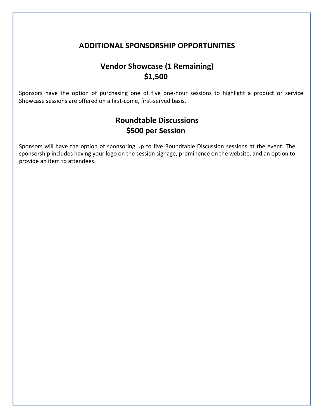#### **ADDITIONAL SPONSORSHIP OPPORTUNITIES**

## **Vendor Showcase (1 Remaining) \$1,500**

Sponsors have the option of purchasing one of five one-hour sessions to highlight a product or service. Showcase sessions are offered on a first-come, first-served basis.

#### **Roundtable Discussions \$500 per Session**

Sponsors will have the option of sponsoring up to five Roundtable Discussion sessions at the event. The sponsorship includes having your logo on the session signage, prominence on the website, and an option to provide an item to attendees.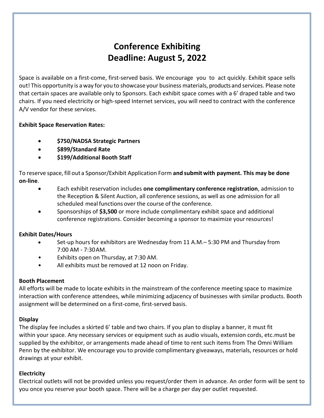## **Conference Exhibiting Deadline: August 5, 2022**

Space is available on a first-come, first-served basis. We encourage you to act quickly. Exhibit space sells out! This opportunity is a way for you to showcase your business materials, products and services. Please note that certain spaces are available only to Sponsors. Each exhibit space comes with a 6' draped table and two chairs. If you need electricity or high-speed Internet services, you will need to contract with the conference A/V vendor for these services.

#### **Exhibit Space Reservation Rates:**

- **\$750/NADSA Strategic Partners**
- **\$899/Standard Rate**
- **\$199/Additional Booth Staff**

To reserve space,fill out a Sponsor/Exhibit Application Form **and submitwith payment. This may be done on-line**.

- Each exhibit reservation includes **one complimentary conference registration**, admission to the Reception & Silent Auction, all conference sessions, as well as one admission for all scheduled mealfunctions over the course of the conference.
- Sponsorships of **\$3,500** or more include complimentary exhibit space and additional conference registrations. Consider becoming a sponsor to maximize yourresources!

#### **Exhibit Dates/Hours**

- Set-up hours for exhibitors are Wednesday from 11 A.M.– 5:30 PM and Thursday from 7:00 AM - 7:30AM.
- Exhibits open on Thursday, at 7:30 AM.
- All exhibits must be removed at 12 noon on Friday.

#### **Booth Placement**

All efforts will be made to locate exhibits in the mainstream of the conference meeting space to maximize interaction with conference attendees, while minimizing adjacency of businesses with similar products. Booth assignment will be determined on a first-come, first-served basis.

#### **Display**

The display fee includes a skirted 6' table and two chairs. If you plan to display a banner, it must fit within your space. Any necessary services or equipment such as audio visuals, extension cords, etc.must be supplied by the exhibitor, or arrangements made ahead of time to rent such items from The Omni William Penn by the exhibitor. We encourage you to provide complimentary giveaways, materials, resources or hold drawings at your exhibit.

#### **Electricity**

Electrical outlets will not be provided unless you request/order them in advance. An order form will be sent to you once you reserve your booth space. There will be a charge per day per outlet requested.